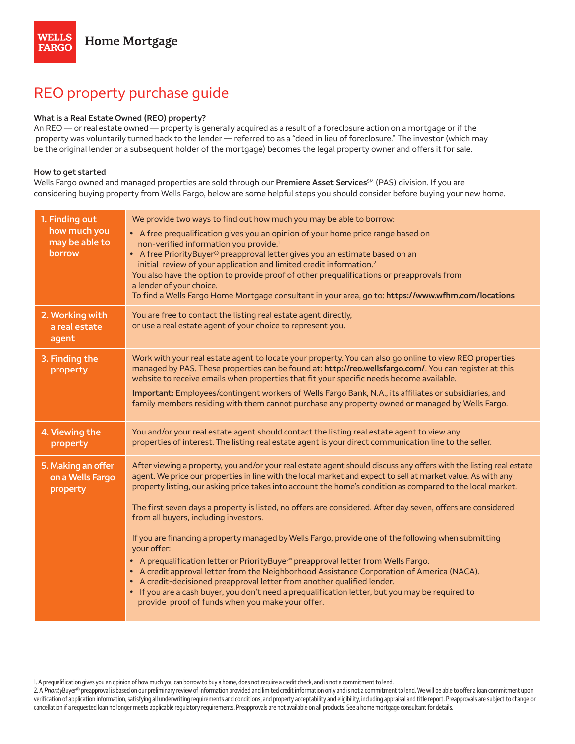# REO property purchase guide

## **What is a Real Estate Owned (REO) property?**

An REO — or real estate owned — property is generally acquired as a result of a foreclosure action on a mortgage or if the property was voluntarily turned back to the lender — referred to as a "deed in lieu of foreclosure." The investor (which may be the original lender or a subsequent holder of the mortgage) becomes the legal property owner and offers it for sale.

#### **How to get started**

Wells Fargo owned and managed properties are sold through our **Premiere Asset Services**℠ (PAS) division. If you are considering buying property from Wells Fargo, below are some helpful steps you should consider before buying your new home.

| 1. Finding out<br>how much you<br>may be able to<br>borrow | We provide two ways to find out how much you may be able to borrow:<br>• A free prequalification gives you an opinion of your home price range based on<br>non-verified information you provide. <sup>1</sup><br>• A free PriorityBuyer® preapproval letter gives you an estimate based on an<br>initial review of your application and limited credit information. <sup>2</sup><br>You also have the option to provide proof of other prequalifications or preapprovals from<br>a lender of your choice.<br>To find a Wells Fargo Home Mortgage consultant in your area, go to: https://www.wfhm.com/locations                                                                                                                                                                                                                                                                                                                                                                                                                                        |
|------------------------------------------------------------|--------------------------------------------------------------------------------------------------------------------------------------------------------------------------------------------------------------------------------------------------------------------------------------------------------------------------------------------------------------------------------------------------------------------------------------------------------------------------------------------------------------------------------------------------------------------------------------------------------------------------------------------------------------------------------------------------------------------------------------------------------------------------------------------------------------------------------------------------------------------------------------------------------------------------------------------------------------------------------------------------------------------------------------------------------|
| 2. Working with<br>a real estate<br>agent                  | You are free to contact the listing real estate agent directly,<br>or use a real estate agent of your choice to represent you.                                                                                                                                                                                                                                                                                                                                                                                                                                                                                                                                                                                                                                                                                                                                                                                                                                                                                                                         |
| 3. Finding the<br>property                                 | Work with your real estate agent to locate your property. You can also go online to view REO properties<br>managed by PAS. These properties can be found at: http://reo.wellsfargo.com/. You can register at this<br>website to receive emails when properties that fit your specific needs become available.<br>Important: Employees/contingent workers of Wells Fargo Bank, N.A., its affiliates or subsidiaries, and<br>family members residing with them cannot purchase any property owned or managed by Wells Fargo.                                                                                                                                                                                                                                                                                                                                                                                                                                                                                                                             |
| 4. Viewing the<br>property                                 | You and/or your real estate agent should contact the listing real estate agent to view any<br>properties of interest. The listing real estate agent is your direct communication line to the seller.                                                                                                                                                                                                                                                                                                                                                                                                                                                                                                                                                                                                                                                                                                                                                                                                                                                   |
| 5. Making an offer<br>on a Wells Fargo<br>property         | After viewing a property, you and/or your real estate agent should discuss any offers with the listing real estate<br>agent. We price our properties in line with the local market and expect to sell at market value. As with any<br>property listing, our asking price takes into account the home's condition as compared to the local market.<br>The first seven days a property is listed, no offers are considered. After day seven, offers are considered<br>from all buyers, including investors.<br>If you are financing a property managed by Wells Fargo, provide one of the following when submitting<br>your offer:<br>• A prequalification letter or PriorityBuyer® preapproval letter from Wells Fargo.<br>• A credit approval letter from the Neighborhood Assistance Corporation of America (NACA).<br>• A credit-decisioned preapproval letter from another qualified lender.<br>• If you are a cash buyer, you don't need a prequalification letter, but you may be required to<br>provide proof of funds when you make your offer. |

1. A prequalification gives you an opinion of how much you can borrow to buy a home, does not require a credit check, and is not a commitment to lend.

2. A PriorityBuyer® preapproval is based on our preliminary review of information provided and limited credit information only and is not a commitment to lend. We will be able to offer a loan commitment upon verification of application information, satisfying all underwriting requirements and conditions, and property acceptability and eligibility, including appraisal and title report. Preapprovals are subject to change or cancellation if a requested loan no longer meets applicable regulatory requirements. Preapprovals are not available on all products. See a home mortgage consultant for details.